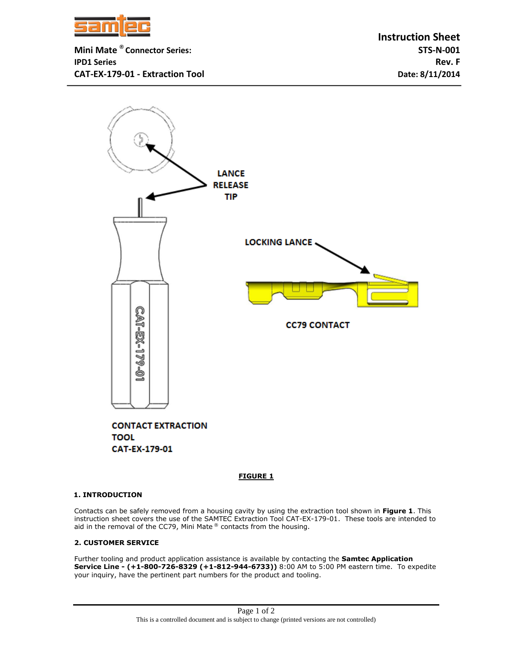

**Mini Mate ® Connector Series: STS-N-001 IPD1 Series Rev. F CAT-EX-179-01 - Extraction Tool Date: 8/11/2014**



 **FIGURE 1**

## **1. INTRODUCTION**

Contacts can be safely removed from a housing cavity by using the extraction tool shown in **Figure 1**. This instruction sheet covers the use of the SAMTEC Extraction Tool CAT-EX-179-01. These tools are intended to aid in the removal of the CC79, Mini Mate® contacts from the housing.

## **2. CUSTOMER SERVICE**

Further tooling and product application assistance is available by contacting the **Samtec Application Service Line - (+1-800-726-8329 (+1-812-944-6733))** 8:00 AM to 5:00 PM eastern time. To expedite your inquiry, have the pertinent part numbers for the product and tooling.